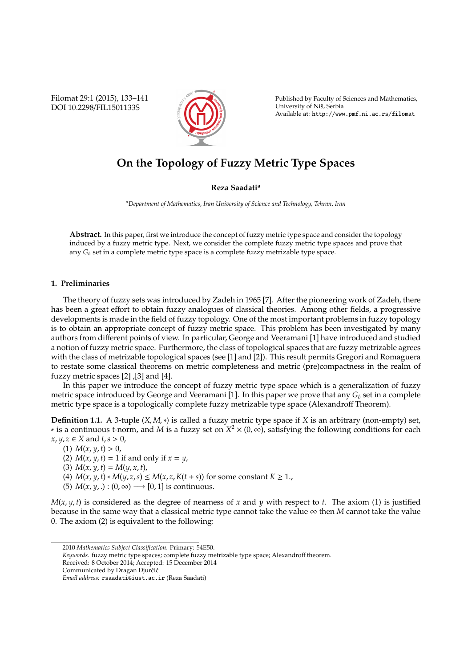Filomat 29:1 (2015), 133–141 DOI 10.2298/FIL1501133S



Published by Faculty of Sciences and Mathematics, University of Niš, Serbia Available at: http://www.pmf.ni.ac.rs/filomat

# **On the Topology of Fuzzy Metric Type Spaces**

## **Reza Saadati<sup>a</sup>**

*<sup>a</sup>Department of Mathematics, Iran University of Science and Technology, Tehran, Iran*

**Abstract.** In this paper, first we introduce the concept of fuzzy metric type space and consider the topology induced by a fuzzy metric type. Next, we consider the complete fuzzy metric type spaces and prove that any  $G_{\delta}$  set in a complete metric type space is a complete fuzzy metrizable type space.

# **1. Preliminaries**

The theory of fuzzy sets was introduced by Zadeh in 1965 [7]. After the pioneering work of Zadeh, there has been a great effort to obtain fuzzy analogues of classical theories. Among other fields, a progressive developments is made in the field of fuzzy topology. One of the most important problems in fuzzy topology is to obtain an appropriate concept of fuzzy metric space. This problem has been investigated by many authors from different points of view. In particular, George and Veeramani [1] have introduced and studied a notion of fuzzy metric space. Furthermore, the class of topological spaces that are fuzzy metrizable agrees with the class of metrizable topological spaces (see [1] and [2]). This result permits Gregori and Romaguera to restate some classical theorems on metric completeness and metric (pre)compactness in the realm of fuzzy metric spaces [2] ,[3] and [4].

In this paper we introduce the concept of fuzzy metric type space which is a generalization of fuzzy metric space introduced by George and Veeramani [1]. In this paper we prove that any  $G_{\delta}$  set in a complete metric type space is a topologically complete fuzzy metrizable type space (Alexandroff Theorem).

**Definition 1.1.** A 3-tuple (*X*, *M*,∗) is called a fuzzy metric type space if *X* is an arbitrary (non-empty) set, ∗ is a continuous t-norm, and *M* is a fuzzy set on *X* <sup>2</sup> × (0, ∞), satisfying the following conditions for each *x*, *y*, *z* ∈ *X* and *t*, *s* > 0,

(1)  $M(x, y, t) > 0$ ,

(2)  $M(x, y, t) = 1$  if and only if  $x = y$ ,

- (3)  $M(x, y, t) = M(y, x, t)$ ,
- (4) *M*(*x*, *y*, *t*) ∗ *M*(*y*, *z*,*s*) ≤ *M*(*x*, *z*, *K*(*t* + *s*)) for some constant *K* ≥ 1.,
- (5)  $M(x, y, ...)$  :  $(0, \infty) \longrightarrow [0, 1]$  is continuous.

 $M(x, y, t)$  is considered as the degree of nearness of x and y with respect to t. The axiom (1) is justified because in the same way that a classical metric type cannot take the value  $\infty$  then *M* cannot take the value 0. The axiom (2) is equivalent to the following:

*Keywords*. fuzzy metric type spaces; complete fuzzy metrizable type space; Alexandroff theorem.

<sup>2010</sup> *Mathematics Subject Classification*. Primary: 54E50.

Received: 8 October 2014; Accepted: 15 December 2014

Communicated by Dragan Djurčić

*Email address:* rsaadati@iust.ac.ir (Reza Saadati)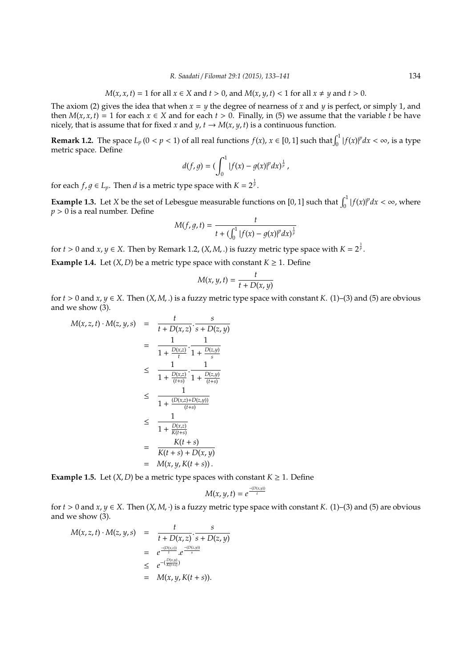*M*(*x*, *x*, *t*) = 1 for all  $x \in X$  and  $t > 0$ , and  $M(x, y, t) < 1$  for all  $x \neq y$  and  $t > 0$ .

The axiom (2) gives the idea that when  $x = y$  the degree of nearness of x and y is perfect, or simply 1, and then  $M(x, x, t) = 1$  for each  $x \in X$  and for each  $t > 0$ . Finally, in (5) we assume that the variable *t* be have nicely, that is assume that for fixed *x* and *y*,  $t \rightarrow M(x, y, t)$  is a continuous function.

**Remark 1.2.** The space  $L_p$  ( $0 < p < 1$ ) of all real functions  $f(x)$ ,  $x \in [0, 1]$  such that  $\int_0^1 |f(x)|^p dx < \infty$ , is a type metric space. Define

$$
d(f,g) = (\int_0^1 |f(x) - g(x)|^p dx)^{\frac{1}{p}},
$$

for each  $f$ ,  $g \in L_p$ . Then  $d$  is a metric type space with  $K = 2^{\frac{1}{p}}$ .

**Example 1.3.** Let *X* be the set of Lebesgue measurable functions on [0, 1] such that  $\int_0^1 |f(x)|^p dx < \infty$ , where *p* > 0 is a real number. Define

$$
M(f, g, t) = \frac{t}{t + (\int_0^1 |f(x) - g(x)|^p dx)^{\frac{1}{p}}}
$$

for *t* > 0 and *x*, *y*  $\in$  *X*. Then by Remark 1.2, (*X*, *M*, .) is fuzzy metric type space with  $K = 2^{\frac{1}{p}}$ .

**Example 1.4.** Let  $(X, D)$  be a metric type space with constant  $K \geq 1$ . Define

*t*

$$
M(x, y, t) = \frac{t}{t + D(x, y)}
$$

for  $t > 0$  and  $x, y \in X$ . Then  $(X, M, \cdot)$  is a fuzzy metric type space with constant *K*. (1)–(3) and (5) are obvious and we show (3).

$$
M(x, z, t) \cdot M(z, y, s) = \frac{t}{t + D(x, z)} \cdot \frac{s}{s + D(z, y)}
$$
  
\n
$$
= \frac{1}{1 + \frac{D(x, z)}{t}} \cdot \frac{1}{1 + \frac{D(z, y)}{s}}
$$
  
\n
$$
\leq \frac{1}{1 + \frac{D(x, z)}{(t + s)}} \cdot \frac{1}{1 + \frac{D(z, y)}{(t + s)}}
$$
  
\n
$$
\leq \frac{1}{1 + \frac{D(x, z) + D(z, y)}{(t + s)}}
$$
  
\n
$$
\leq \frac{1}{1 + \frac{D(x, z)}{K(t + s)}}
$$
  
\n
$$
= \frac{K(t + s)}{K(t + s) + D(x, y)}
$$
  
\n
$$
= M(x, y, K(t + s)).
$$

**Example 1.5.** Let  $(X, D)$  be a metric type spaces with constant  $K \geq 1$ . Define

$$
M(x, y, t) = e^{\frac{-(D(x, y))}{t}}
$$

for  $t > 0$  and  $x, y \in X$ . Then  $(X, M, \cdot)$  is a fuzzy metric type space with constant *K*. (1)–(3) and (5) are obvious and we show (3).

$$
M(x, z, t) \cdot M(z, y, s) = \frac{t}{t + D(x, z)} \cdot \frac{s}{s + D(z, y)}
$$
  
=  $e^{\frac{-(D(x, z))}{t}} \cdot e^{\frac{-(D(z, y))}{s}}$   
 $\leq e^{-(\frac{D(x, y)}{K(t+s)})}$   
=  $M(x, y, K(t+s)).$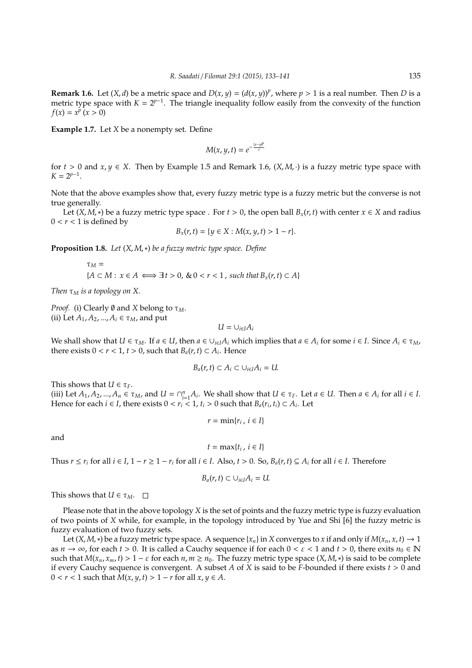**Remark 1.6.** Let  $(X, d)$  be a metric space and  $D(x, y) = (d(x, y))^p$ , where  $p > 1$  is a real number. Then *D* is a metric type space with  $K = 2^{p-1}$ . The triangle inequality follow easily from the convexity of the function  $f(x) = x^p (x > 0)$ 

**Example 1.7.** Let *X* be a nonempty set. Define

$$
M(x, y, t) = e^{-\frac{|x-y|^p}{t}}
$$

for  $t > 0$  and  $x, y \in X$ . Then by Example 1.5 and Remark 1.6,  $(X, M, \cdot)$  is a fuzzy metric type space with  $K = 2^{p-1}$ .

Note that the above examples show that, every fuzzy metric type is a fuzzy metric but the converse is not true generally.

Let  $(X, M, *)$  be a fuzzy metric type space . For  $t > 0$ , the open ball  $B_x(r, t)$  with center  $x \in X$  and radius  $0 < r < 1$  is defined by

$$
B_x(r,t) = \{y \in X : M(x,y,t) > 1 - r\}.
$$

**Proposition 1.8.** *Let* (*X*, *M*,∗) *be a fuzzy metric type space. Define*

$$
\tau_M =
$$
  
{ $A \subset M : x \in A \iff \exists t > 0, \& 0 < r < 1, \text{ such that } B_x(r, t) \subset A$ }

*Then* τ*<sup>M</sup> is a topology on X.*

*Proof.* (i) Clearly ∅ and *X* belong to τ*M*. (ii) Let  $A_1, A_2, ..., A_i \in \tau_M$ , and put

$$
U=\cup_{i\in I}A_i
$$

We shall show that  $U \in \tau_M$ . If  $a \in U$ , then  $a \in \bigcup_{i \in I} A_i$  which implies that  $a \in A_i$  for some  $i \in I$ . Since  $A_i \in \tau_M$ , there exists  $0 < r < 1$ ,  $t > 0$ , such that  $B_a(r, t) \subset A_i$ . Hence

$$
B_a(r,t)\subset A_i\subset\cup_{i\in I}A_i=U.
$$

This shows that  $U \in \tau_F$ . (iii) Let  $A_1, A_2, ..., A_n \in \tau_M$ , and  $U = \bigcap_{i=1}^n A_i$ . We shall show that  $U \in \tau_F$ . Let  $a \in U$ . Then  $a \in A_i$  for all  $i \in I$ . Hence for each  $i \in I$ , there exists  $0 < r_i < 1$ ,  $t_i > 0$  such that  $B_a(r_i, t_i) \subset A_i$ . Let

$$
r=\min\{r_i\,,\,i\in I\}
$$

and

$$
t = \max\{t_i, i \in I\}
$$

Thus  $r \le r_i$  for all  $i \in I$ ,  $1 - r \ge 1 - r_i$  for all  $i \in I$ . Also,  $t > 0$ . So,  $B_a(r, t) \subseteq A_i$  for all  $i \in I$ . Therefore

$$
B_a(r,t)\subset \cup_{i\in I}A_i=U.
$$

This shows that  $U \in \tau_M$ .  $\square$ 

Please note that in the above topology *X* is the set of points and the fuzzy metric type is fuzzy evaluation of two points of *X* while, for example, in the topology introduced by Yue and Shi [6] the fuzzy metric is fuzzy evaluation of two fuzzy sets.

Let  $(X, M, *)$  be a fuzzy metric type space. A sequence  $\{x_n\}$  in *X* converges to *x* if and only if  $M(x_n, x, t) \to 1$ as  $n \to \infty$ , for each  $t > 0$ . It is called a Cauchy sequence if for each  $0 < \varepsilon < 1$  and  $t > 0$ , there exits  $n_0 \in \mathbb{N}$ such that  $M(x_n, x_m, t) > 1 - \varepsilon$  for each  $n, m \ge n_0$ . The fuzzy metric type space  $(X, M, *)$  is said to be complete if every Cauchy sequence is convergent. A subset *A* of *X* is said to be *F*-bounded if there exists *t* > 0 and  $0 < r < 1$  such that  $M(x, y, t) > 1 - r$  for all  $x, y \in A$ .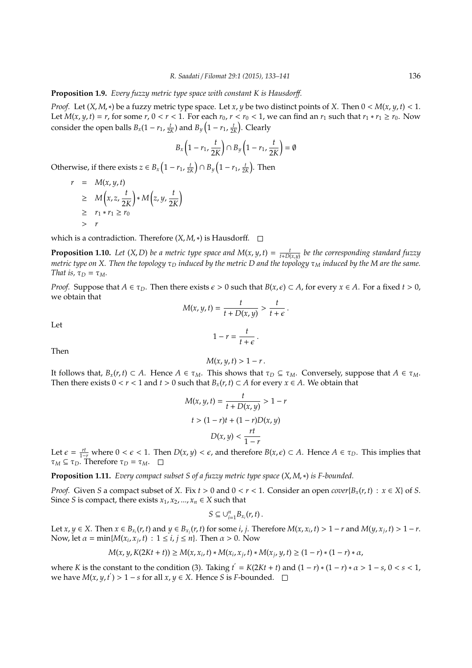## **Proposition 1.9.** *Every fuzzy metric type space with constant K is Hausdor*ff*.*

*Proof.* Let  $(X, M, *)$  be a fuzzy metric type space. Let *x*, *y* be two distinct points of *X*. Then  $0 < M(x, y, t) < 1$ . Let  $M(x, y, t) = r$ , for some  $r, 0 < r < 1$ . For each  $r_0, r < r_0 < 1$ , we can find an  $r_1$  such that  $r_1 * r_1 \ge r_0$ . Now consider the open balls  $B_x(1 - r_1, \frac{t}{2K})$  and  $B_y\left(1 - r_1, \frac{t}{2K}\right)$ . Clearly

$$
B_x\left(1-r_1,\frac{t}{2K}\right)\cap B_y\left(1-r_1,\frac{t}{2K}\right)=\emptyset
$$

Otherwise, if there exists  $z \in B_x \left(1 - r_1, \frac{t}{2K}\right) \cap B_y \left(1 - r_1, \frac{t}{2K}\right)$ . Then

$$
r = M(x, y, t)
$$
  
\n
$$
\geq M\left(x, z, \frac{t}{2K}\right) * M\left(z, y, \frac{t}{2K}\right)
$$
  
\n
$$
\geq r_1 * r_1 \geq r_0
$$
  
\n
$$
> r
$$

which is a contradiction. Therefore (*X*, *M*, ∗) is Hausdorff. □

**Proposition 1.10.** Let  $(X, D)$  be a metric type space and  $M(x, y, t) = \frac{t}{t + D(x, y)}$  be the corresponding standard fuzzy *metric type on X. Then the topology* τ<sub>*D</sub></sub> <i>induced by the metric D and the topology* τ<sub>*M</sub> induced by the M are the same.*</sub></sub> *That is,*  $\tau_D = \tau_M$ *.* 

*Proof.* Suppose that  $A \in \tau_D$ . Then there exists  $\epsilon > 0$  such that  $B(x, \epsilon) \subset A$ , for every  $x \in A$ . For a fixed  $t > 0$ , we obtain that

$$
M(x, y, t) = \frac{t}{t + D(x, y)} > \frac{t}{t + \epsilon}.
$$

$$
1 - r = \frac{t}{t + \epsilon}.
$$

Then

Let

$$
M(x, y, t) > 1 - r.
$$

It follows that,  $B_x(r, t) \subset A$ . Hence  $A \in \tau_M$ . This shows that  $\tau_D \subseteq \tau_M$ . Conversely, suppose that  $A \in \tau_M$ . Then there exists  $0 < r < 1$  and  $t > 0$  such that  $B_x(r, t) \subset A$  for every  $x \in A$ . We obtain that

$$
M(x, y, t) = \frac{t}{t + D(x, y)} > 1 - r
$$
  

$$
t > (1 - r)t + (1 - r)D(x, y)
$$
  

$$
D(x, y) < \frac{rt}{1 - r}
$$

Let  $\epsilon = \frac{rt}{1-r}$  where  $0 < \epsilon < 1$ . Then  $D(x, y) < \epsilon$ , and therefore  $B(x, \epsilon) \subset A$ . Hence  $A \in \tau_D$ . This implies that  $\tau_M \subseteq \tau_D$ . Therefore  $\tau_D = \tau_M$ .  $\Box$ 

**Proposition 1.11.** *Every compact subset S of a fuzzy metric type space* (*X*, *M*,∗) *is F-bounded.*

*Proof.* Given *S* a compact subset of *X*. Fix  $t > 0$  and  $0 < r < 1$ . Consider an open *cover*{ $B_x(r, t) : x \in X$ } of *S*. Since *S* is compact, there exists  $x_1, x_2, ..., x_n \in X$  such that

$$
S\subseteq\cup_{i=1}^nB_{x_i}(r,t).
$$

Let  $x, y \in X$ . Then  $x \in B_{x_i}(r, t)$  and  $y \in B_{x_j}(r, t)$  for some *i*, *j*. Therefore  $M(x, x_i, t) > 1 - r$  and  $M(y, x_j, t) > 1 - r$ . Now, let  $\alpha = \min\{M(x_i, x_j, t) : 1 \le i, j \le n\}$ . Then  $\alpha > 0$ . Now

$$
M(x, y, K(2Kt + t)) \ge M(x, x_i, t) * M(x_i, x_j, t) * M(x_j, y, t) \ge (1 - r) * (1 - r) * \alpha,
$$

where *K* is the constant to the condition (3). Taking  $t' = K(2Kt + t)$  and  $(1 - r) * (1 - r) * \alpha > 1 - s$ ,  $0 < s < 1$ , we have  $M(x, y, t') > 1 - s$  for all  $x, y \in X$ . Hence *S* is *F*-bounded.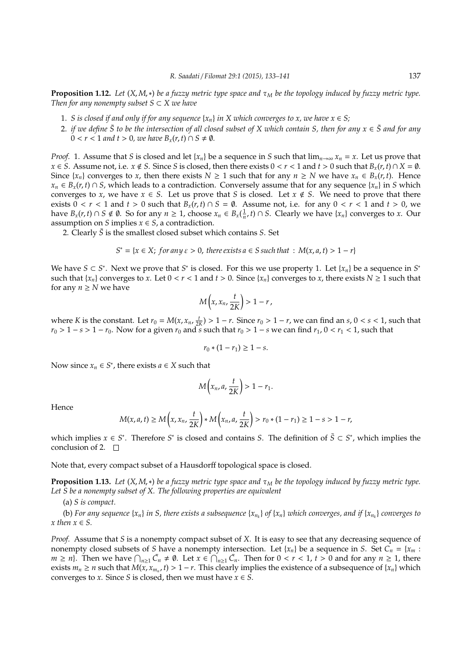**Proposition 1.12.** *Let*  $(X, M, *)$  *be a fuzzy metric type space and*  $\tau_M$  *be the topology induced by fuzzy metric type. Then for any nonempty subset*  $S \subset X$  *we have* 

- 1. *S* is closed if and only if for any sequence  $\{x_n\}$  in X which converges to x, we have  $x \in S$ ;
- 2. *if we define*  $\bar{S}$  to be the intersection of all closed subset of X which contain S, then for any  $x \in \bar{S}$  and for any  $0 < r < 1$  and  $t > 0$ , we have  $B_x(r, t) \cap S \neq \emptyset$ .

*Proof.* 1. Assume that *S* is closed and let {*x<sub>n</sub>*} be a sequence in *S* such that  $\lim_{n\to\infty} x_n = x$ . Let us prove that *x* ∈ *S*. Assume not, i.e. *x* ∉ *S*. Since *S* is closed, then there exists 0 < *r* < 1 and *t* > 0 such that  $B_x(r, t) \cap X = \emptyset$ . Since  $\{x_n\}$  converges to *x*, then there exists  $N \ge 1$  such that for any  $n \ge N$  we have  $x_n \in B_x(r, t)$ . Hence *x*<sup>*n*</sup> ∈ *B*<sub>*x*</sub>(*r*, *t*) ∩ *S*, which leads to a contradiction. Conversely assume that for any sequence {*x<sub>n</sub>*} in *S* which converges to *x*, we have  $x \in S$ . Let us prove that *S* is closed. Let  $x \notin S$ . We need to prove that there exists  $0 < r < 1$  and  $t > 0$  such that  $B_x(r, t) \cap S = \emptyset$ . Assume not, i.e. for any  $0 < r < 1$  and  $t > 0$ , we have  $B_x(r, t)$  ∩ *S* ∉ Ø. So for any  $n \ge 1$ , choose  $x_n \in B_x(\frac{1}{n}, t)$  ∩ *S*. Clearly we have  $\{x_n\}$  converges to *x*. Our assumption on *S* implies  $x \in S$ , a contradiction.

2. Clearly  $\bar{S}$  is the smallest closed subset which contains  $S$ . Set

$$
S^* = \{x \in X; for any \varepsilon > 0, there exists a \in S such that : M(x, a, t) > 1 - r\}
$$

We have  $S \subset S^*$ . Next we prove that  $S^*$  is closed. For this we use property 1. Let  $\{x_n\}$  be a sequence in  $S^*$ such that  ${x_n}$  converges to *x*. Let  $0 < r < 1$  and  $t > 0$ . Since  ${x_n}$  converges to *x*, there exists  $N \ge 1$  such that for any  $n \geq N$  we have

$$
M\left(x,x_n,\frac{t}{2K}\right)>1-r,
$$

where *K* is the constant. Let  $r_0 = M(x, x_n, \frac{t}{2K}) > 1 - r$ . Since  $r_0 > 1 - r$ , we can find an *s*,  $0 < s < 1$ , such that  $r_0 > 1 - s > 1 - r_0$ . Now for a given  $r_0$  and *s* such that  $r_0 > 1 - s$  we can find  $r_1$ ,  $0 < r_1 < 1$ , such that

$$
r_0*(1-r_1)\geq 1-s.
$$

Now since  $x_n \in S^*$ , there exists  $a \in X$  such that

$$
M\left(x_n, a, \frac{t}{2K}\right) > 1 - r_1.
$$

Hence

$$
M(x, a, t) \ge M\left(x, x_n, \frac{t}{2K}\right) * M\left(x_n, a, \frac{t}{2K}\right) > r_0 * (1 - r_1) \ge 1 - s > 1 - r,
$$

which implies  $x \in S^*$ . Therefore  $S^*$  is closed and contains *S*. The definition of  $\overline{S} \subset S^*$ , which implies the conclusion of 2.  $\square$ 

Note that, every compact subset of a Hausdorff topological space is closed.

**Proposition 1.13.** *Let*  $(X, M, *)$  *be a fuzzy metric type space and*  $\tau_M$  *be the topology induced by fuzzy metric type. Let S be a nonempty subset of X. The following properties are equivalent*

(a) *S is compact.*

(b) For any sequence  $\{x_n\}$  in S, there exists a subsequence  $\{x_{n_k}\}$  of  $\{x_n\}$  which converges, and if  $\{x_{n_k}\}$  converges to  $x$  *then*  $x \in S$ .

*Proof.* Assume that *S* is a nonempty compact subset of *X*. It is easy to see that any decreasing sequence of nonempty closed subsets of *S* have a nonempty intersection. Let  $\{x_n\}$  be a sequence in *S*. Set  $C_n = \{x_m :$ *m* ≥ *n*). Then we have  $\bigcap_{n\geq1} \bar{C}_n \neq \emptyset$ . Let  $x \in \bigcap_{n\geq1} \bar{C}_n$ . Then for  $0 < r < 1$ ,  $t > 0$  and for any  $n \geq 1$ , there exists  $m_n \ge n$  such that  $M(x, x_{m_n}, t) > 1 - r$ . This clearly implies the existence of a subsequence of  $\{x_n\}$  which converges to *x*. Since *S* is closed, then we must have  $x \in S$ .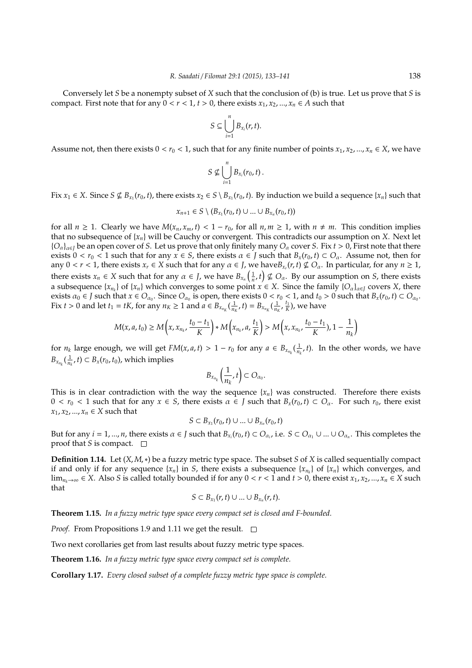Conversely let *S* be a nonempty subset of *X* such that the conclusion of (b) is true. Let us prove that *S* is compact. First note that for any  $0 < r < 1$ ,  $t > 0$ , there exists  $x_1, x_2, ..., x_n \in A$  such that

$$
S\subseteq \bigcup_{i=1}^n B_{x_i}(r,t).
$$

Assume not, then there exists  $0 < r_0 < 1$ , such that for any finite number of points  $x_1, x_2, ..., x_n \in X$ , we have

$$
S \nsubseteq \bigcup_{i=1}^n B_{x_i}(r_0,t).
$$

Fix  $x_1 \in X$ . Since  $S \nsubseteq B_{x_1}(r_0, t)$ , there exists  $x_2 \in S \setminus B_{x_1}(r_0, t)$ . By induction we build a sequence  $\{x_n\}$  such that

$$
x_{n+1} \in S \setminus (B_{x_1}(r_0,t) \cup ... \cup B_{x_n}(r_0,t))
$$

for all *n* ≥ 1. Clearly we have  $M(x_n, x_m, t)$  < 1 − *r*<sub>0</sub>, for all *n*, *m* ≥ 1, with *n* ≠ *m*. This condition implies that no subsequence of {*xn*} will be Cauchy or convergent. This contradicts our assumption on *X*. Next let  ${O_{\alpha}}_{\alpha \in I}$  be an open cover of *S*. Let us prove that only finitely many  $O_{\alpha}$  cover *S*. Fix  $t > 0$ , First note that there exists  $0 < r_0 < 1$  such that for any  $x \in S$ , there exists  $\alpha \in J$  such that  $B_x(r_0, t) \subset O_\alpha$ . Assume not, then for any  $0 < r < 1$ , there exists  $x_r \in X$  such that for any  $\alpha \in J$ , we have  $B_{x_r}(r, t) \nsubseteq O_\alpha$ . In particular, for any  $n \ge 1$ , there exists  $x_n \in X$  such that for any  $\alpha \in J$ , we have  $B_{x_n}\left(\frac{1}{n},t\right) \nsubseteq O_\alpha$ . By our assumption on *S*, there exists a subsequence  $\{x_{n_k}\}\$  of  $\{x_n\}$  which converges to some point  $x \in X$ . Since the family  $\{O_\alpha\}_{\alpha \in J}$  covers  $X$ , there exists  $\alpha_0 \in J$  such that  $x \in O_{\alpha_0}$ . Since  $O_{\alpha_0}$  is open, there exists  $0 < r_0 < 1$ , and  $t_0 > 0$  such that  $B_x(r_0, t) \subset O_{\alpha_0}$ . Fix  $t > 0$  and let  $t_1 = tK$ , for any  $n_K \ge 1$  and  $a \in B_{x_{n_K}}(\frac{1}{n_K}, t) = B_{x_{n_K}}(\frac{1}{n_K}, \frac{t_1}{K})$ , we have

$$
M(x, a, t_0) \ge M\left(x, x_{n_k}, \frac{t_0 - t_1}{K}\right) * M\left(x_{n_k}, a, \frac{t_1}{K}\right) > M\left(x, x_{n_k}, \frac{t_0 - t_1}{K}\right), 1 - \frac{1}{n_k}\right)
$$

for  $n_k$  large enough, we will get  $FM(x, a, t) > 1 - r_0$  for any  $a \in B_{x_{n_k}}(\frac{1}{n_k}, t)$ . In the other words, we have  $B_{x_{n_k}}(\frac{1}{n_k}, t) \subset B_x(r_0, t_0)$ , which implies

$$
B_{x_{n_k}}\left(\frac{1}{n_k},t\right)\subset O_{\alpha_0}.
$$

This is in clear contradiction with the way the sequence  $\{x_n\}$  was constructed. Therefore there exists  $0 < r_0 < 1$  such that for any  $x \in S$ , there exists  $\alpha \in J$  such that  $B_x(r_0, t) \subset O_\alpha$ . For such  $r_0$ , there exist *x*<sub>1</sub>, *x*<sub>2</sub>, ..., *x*<sup>*n*</sup> ∈ *X* such that

$$
S\subset B_{x_1}(r_0,t)\cup\ldots\cup B_{x_n}(r_0,t)
$$

But for any  $i = 1, ..., n$ , there exists  $\alpha \in J$  such that  $B_{x_i}(r_0, t) \subset O_{\alpha_i}$ , i.e.  $S \subset O_{\alpha_1} \cup ... \cup O_{\alpha_n}$ . This completes the proof that *S* is compact.  $\square$ 

**Definition 1.14.** Let (*X*, *M*,∗) be a fuzzy metric type space. The subset *S* of *X* is called sequentially compact if and only if for any sequence  $\{x_n\}$  in *S*, there exists a subsequence  $\{x_{n_k}\}$  of  $\{x_n\}$  which converges, and lim<sub>*nk*→∞</sub> ∈ *X*. Also *S* is called totally bounded if for any  $0 < r < 1$  and  $t > 0$ , there exist  $x_1, x_2, ..., x_n \in X$  such that

$$
S\subset B_{x_1}(r,t)\cup...\cup B_{x_n}(r,t).
$$

**Theorem 1.15.** *In a fuzzy metric type space every compact set is closed and F-bounded.*

*Proof.* From Propositions 1.9 and 1.11 we get the result. □

Two next corollaries get from last results about fuzzy metric type spaces.

**Theorem 1.16.** *In a fuzzy metric type space every compact set is complete.*

**Corollary 1.17.** *Every closed subset of a complete fuzzy metric type space is complete.*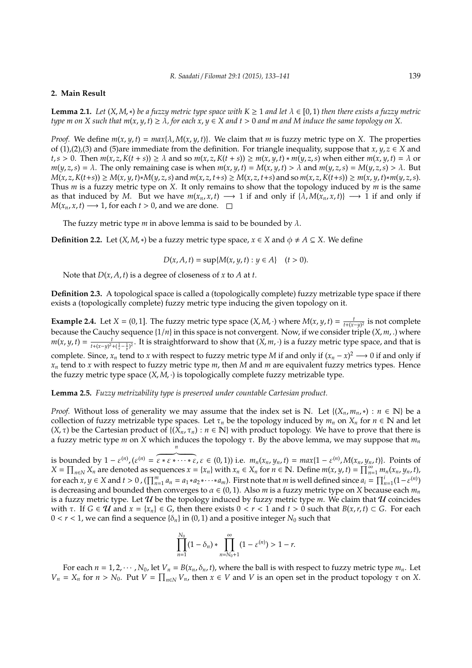#### **2. Main Result**

**Lemma 2.1.** *Let*  $(X, M, *)$  *be a fuzzy metric type space with*  $K \geq 1$  *and let*  $\lambda \in [0, 1)$  *then there exists a fuzzy metric type m on X such that m*(*x*, *y*, *t*)  $\geq \lambda$ , *for each x*, *y*  $\in$  *X and t*  $> 0$  *and m and M induce the same topology on X*.

*Proof.* We define  $m(x, y, t) = max{\lambda, M(x, y, t)}$ . We claim that *m* is fuzzy metric type on *X*. The properties of  $(1),(2),(3)$  and  $(5)$ are immediate from the definition. For triangle inequality, suppose that *x*, *y*, *z*  $\in$  *X* and  $t,s > 0$ . Then  $m(x, z, K(t + s)) \ge \lambda$  and so  $m(x, z, K(t + s)) \ge m(x, y, t) * m(y, z, s)$  when either  $m(x, y, t) = \lambda$  or  $m(y, z, s) = \lambda$ . The only remaining case is when  $m(x, y, t) = M(x, y, t) > \lambda$  and  $m(y, z, s) = M(y, z, s) > \lambda$ . But  $M(x, z, K(t+s)) \ge M(x, y, t) * M(y, z, s)$  and  $m(x, z, t+s) \ge M(x, z, t+s)$  and so  $m(x, z, K(t+s)) \ge m(x, y, t) * m(y, z, s)$ . Thus *m* is a fuzzy metric type on *X*. It only remains to show that the topology induced by *m* is the same as that induced by *M*. But we have  $m(x_n, x, t) \rightarrow 1$  if and only if  $\{\lambda, M(x_n, x, t)\} \rightarrow 1$  if and only if  $M(x_n, x, t) \longrightarrow 1$ , for each  $t > 0$ , and we are done.  $\square$ 

The fuzzy metric type *m* in above lemma is said to be bounded by  $\lambda$ .

**Definition 2.2.** Let  $(X, M, *)$  be a fuzzy metric type space,  $x \in X$  and  $\phi \neq A \subseteq X$ . We define

*D*(*x*, *A*, *t*) = sup{ $M(x, y, t): y \in A$ } (*t* > 0).

Note that *D*(*x*, *A*, *t*) is a degree of closeness of *x* to *A* at *t*.

**Definition 2.3.** A topological space is called a (topologically complete) fuzzy metrizable type space if there exists a (topologically complete) fuzzy metric type inducing the given topology on it.

**Example 2.4.** Let *X* = (0, 1]. The fuzzy metric type space  $(X, M, \cdot)$  where  $M(x, y, t) = \frac{t}{t + (x - y)^2}$  is not complete because the Cauchy sequence {1/*n*} in this space is not convergent. Now, if we consider triple (*X*, *m*, .) where  $m(x, y, t) = \frac{t}{t + (x - y)^2 + (\frac{1}{x} - \frac{1}{y})^2}$ . It is straightforward to show that  $(\overline{X}, m, \cdot)$  is a fuzzy metric type space, and that is complete. Since,  $x_n$  tend to *x* with respect to fuzzy metric type *M* if and only if  $(x_n - x)^2 \rightarrow 0$  if and only if  $x_n$  tend to *x* with respect to fuzzy metric type *m*, then *M* and *m* are equivalent fuzzy metrics types. Hence the fuzzy metric type space (*X*, *M*, ·) is topologically complete fuzzy metrizable type.

**Lemma 2.5.** *Fuzzy metrizability type is preserved under countable Cartesian product.*

*Proof.* Without loss of generality we may assume that the index set is N. Let  $\{(X_n, m_n, *) : n \in \mathbb{N}\}$  be a collection of fuzzy metrizable type spaces. Let  $\tau_n$  be the topology induced by  $m_n$  on  $X_n$  for  $n \in \mathbb{N}$  and let (*X*,  $\tau$ ) be the Cartesian product of {(*X<sub>n</sub>*,  $\tau$ <sub>n</sub>) :  $n \in \mathbb{N}$ } with product topology. We have to prove that there is a fuzzy metric type *m* on *X* which induces the topology τ. By the above lemma, we may suppose that *m<sup>n</sup> n*

is bounded by  $1 - \varepsilon^{(n)}$ ,  $(\varepsilon^{(n)} = \varepsilon * \varepsilon * \cdots * \varepsilon, \varepsilon \in (0,1))$  i.e.  $m_n(x_n, y_n, t) = max\{1 - \varepsilon^{(n)}, M(x_n, y_n, t)\}\$ . Points of  $X = \prod_{n \in N} X_n$  are denoted as sequences  $x = \{x_n\}$  with  $x_n \in X_n$  for  $n \in \mathbb{N}$ . Define  $m(x, y, t) = \prod_{n=1}^{\infty} m_n(x_n, y_n, t)$ for each  $x, y \in X$  and  $t > 0$ ,  $(\prod_{n=1}^{m} a_n = a_1 * a_2 * \cdots * a_m)$ . First note that m is well defined since  $a_i = \prod_{n=1}^{i} (1 - \varepsilon^{(n)})$ is decreasing and bounded then converges to  $\alpha \in (0,1)$ . Also *m* is a fuzzy metric type on *X* because each  $m_n$ is a fuzzy metric type. Let  $\mathcal U$  be the topology induced by fuzzy metric type  $m$ . We claim that  $\mathcal U$  coincides with *τ*. If *G* ∈ *U* and  $x = \{x_n\}$  ∈ *G*, then there exists 0 < *r* < 1 and *t* > 0 such that *B*(*x*, *r*, *t*) ⊂ *G*. For each  $0 < r < 1$ , we can find a sequence  $\{\delta_n\}$  in  $(0, 1)$  and a positive integer  $N_0$  such that

$$
\prod_{n=1}^{N_0} (1 - \delta_n) * \prod_{n=N_0+1}^{\infty} (1 - \varepsilon^{(n)}) > 1 - r.
$$

For each  $n = 1, 2, \dots, N_0$ , let  $V_n = B(x_n, \delta_n, t)$ , where the ball is with respect to fuzzy metric type  $m_n$ . Let  $V_n = X_n$  for  $n > N_0$ . Put  $V = \prod_{n \in N} V_n$ , then  $x \in V$  and  $V$  is an open set in the product topology  $\tau$  on *X*.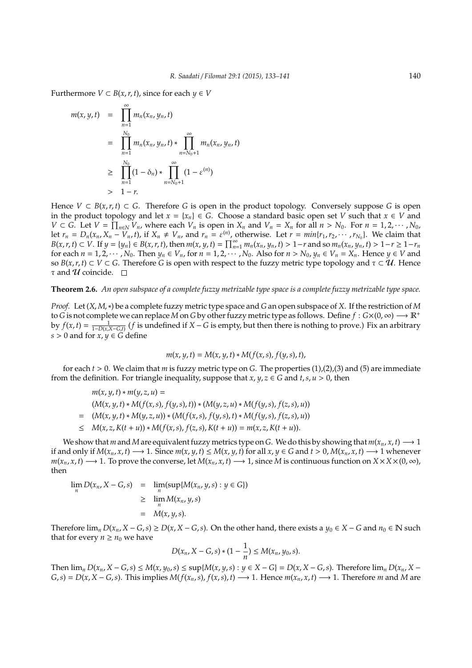Furthermore  $V \subset B(x, r, t)$ , since for each  $y \in V$ 

$$
m(x, y, t) = \prod_{n=1}^{\infty} m_n(x_n, y_n, t)
$$
  
= 
$$
\prod_{n=1}^{N_0} m_n(x_n, y_n, t) * \prod_{n=N_0+1}^{\infty} m_n(x_n, y_n, t)
$$
  

$$
\geq \prod_{n=1}^{N_0} (1 - \delta_n) * \prod_{n=N_0+1}^{\infty} (1 - \varepsilon^{(n)})
$$
  
> 
$$
1 - r.
$$

Hence  $V \subset B(x, r, t) \subset G$ . Therefore *G* is open in the product topology. Conversely suppose *G* is open in the product topology and let  $x = \{x_n\} \in G$ . Choose a standard basic open set *V* such that  $x \in V$  and  $V \subset G$ . Let  $V = \prod_{n \in N} V_n$ , where each  $V_n$  is open in  $X_n$  and  $V_n = X_n$  for all  $n > N_0$ . For  $n = 1, 2, \cdots, N_0$ , let  $r_n = D_n(x_n, X_n - V_n, t)$ , if  $X_n \neq V_n$ , and  $r_n = \varepsilon^{(n)}$ , otherwise. Let  $r = min\{r_1, r_2, \dots, r_{N_0}\}$ . We claim that  $B(x, r, t) \subset V$ . If  $y = \{y_n\} \in B(x, r, t)$ , then  $m(x, y, t) = \prod_{n=1}^{\infty} m_n(x_n, y_n, t) > 1 - r$  and so  $m_n(x_n, y_n, t) > 1 - r \ge 1 - r_n$ for each  $n = 1, 2, \dots, N_0$ . Then  $y_n \in V_n$ , for  $n = 1, 2, \dots, N_0$ . Also for  $n > N_0$ ,  $y_n \in V_n = X_n$ . Hence  $y \in V$  and so  $B(x, r, t) \subset V \subset G$ . Therefore *G* is open with respect to the fuzzy metric type topology and  $\tau \subset \mathcal{U}$ . Hence  $\tau$  and  $\mathcal U$  coincide.  $\Box$ 

### **Theorem 2.6.** *An open subspace of a complete fuzzy metrizable type space is a complete fuzzy metrizable type space.*

*Proof.* Let (*X*, *M*,∗) be a complete fuzzy metric type space and *G* an open subspace of *X*. If the restriction of *M* to *G* is not complete we can replace *M* on *G* by other fuzzy metric type as follows. Define  $f : G \times (0, \infty) \longrightarrow \mathbb{R}^+$ by  $f(x,t) = \frac{1}{1-D(x,X-G,t)}$  (*f* is undefined if  $X - G$  is empty, but then there is nothing to prove.) Fix an arbitrary  $s > 0$  and for  $x, y \in G$  define

$$
m(x, y, t) = M(x, y, t) * M(f(x, s), f(y, s), t),
$$

for each *t* > 0. We claim that *m* is fuzzy metric type on *G*. The properties (1),(2),(3) and (5) are immediate from the definition. For triangle inequality, suppose that  $x, y, z \in G$  and  $t, s, u > 0$ , then

 $m(x, y, t) * m(y, z, u) =$  $(M(x, y, t) * M(f(x, s), f(y, s), t)) * (M(y, z, u) * M(f(y, s), f(z, s), u))$ =  $(M(x, y, t) * M(y, z, u)) * (M(f(x, s), f(y, s), t) * M(f(y, s), f(z, s), u))$ ≤ *M*(*x*, *z*,*K*(*t* + *u*)) ∗ *M*(*f*(*x*,*s*), *f*(*z*,*s*),*K*(*t* + *u*)) = *m*(*x*, *z*,*K*(*t* + *u*)).

We show that *m* and *M* are equivalent fuzzy metrics type on *G*. We do this by showing that  $m(x_n, x, t) \rightarrow 1$ if and only if  $M(x_n, x, t) \rightarrow 1$ . Since  $m(x, y, t) \le M(x, y, t)$  for all  $x, y \in G$  and  $t > 0$ ,  $M(x_n, x, t) \rightarrow 1$  whenever  $m(x_n, x, t) \rightarrow 1$ . To prove the converse, let  $M(x_n, x, t) \rightarrow 1$ , since *M* is continuous function on  $X \times X \times (0, \infty)$ , then

$$
\lim_{n} D(x_n, X - G, s) = \lim_{n} (\sup \{M(x_n, y, s) : y \in G\})
$$
  
\n
$$
\geq \lim_{n} M(x_n, y, s)
$$
  
\n
$$
= M(x, y, s).
$$

Therefore  $\lim_{n} D(x_n, X - G, s) \ge D(x, X - G, s)$ . On the other hand, there exists a  $y_0 \in X - G$  and  $n_0 \in \mathbb{N}$  such that for every  $n \geq n_0$  we have

$$
D(x_n, X - G, s) * (1 - \frac{1}{n}) \le M(x_n, y_0, s).
$$

Then  $\lim_{n} D(x_n, X - G, s) \le M(x, y_0, s) \le \sup\{M(x, y, s): y \in X - G\} = D(x, X - G, s)$ . Therefore  $\lim_{n} D(x_n, X - G, s)$  $G(s) = D(x, X - G, s)$ . This implies  $M(f(x_n, s), f(x, s), t) \rightarrow 1$ . Hence  $m(x_n, x, t) \rightarrow 1$ . Therefore m and M are